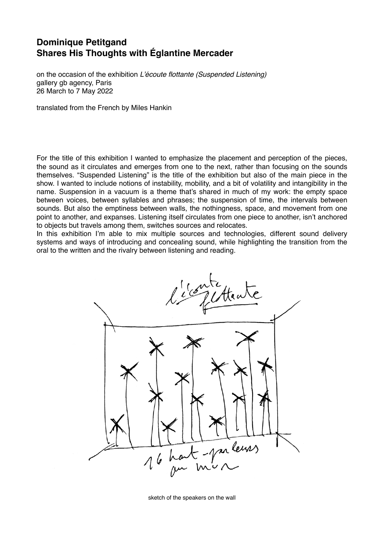## **Dominique Petitgand Shares His Thoughts with Églantine Mercader**

on the occasion of the exhibition *L'écoute flottante (Suspended Listening)* gallery gb agency, Paris 26 March to 7 May 2022

translated from the French by Miles Hankin

For the title of this exhibition I wanted to emphasize the placement and perception of the pieces, the sound as it circulates and emerges from one to the next, rather than focusing on the sounds themselves. "Suspended Listening" is the title of the exhibition but also of the main piece in the show. I wanted to include notions of instability, mobility, and a bit of volatility and intangibility in the name. Suspension in a vacuum is a theme that's shared in much of my work: the empty space between voices, between syllables and phrases; the suspension of time, the intervals between sounds. But also the emptiness between walls, the nothingness, space, and movement from one point to another, and expanses. Listening itself circulates from one piece to another, isn't anchored to objects but travels among them, switches sources and relocates.

In this exhibition I'm able to mix multiple sources and technologies, different sound delivery systems and ways of introducing and concealing sound, while highlighting the transition from the oral to the written and the rivalry between listening and reading.



sketch of the speakers on the wall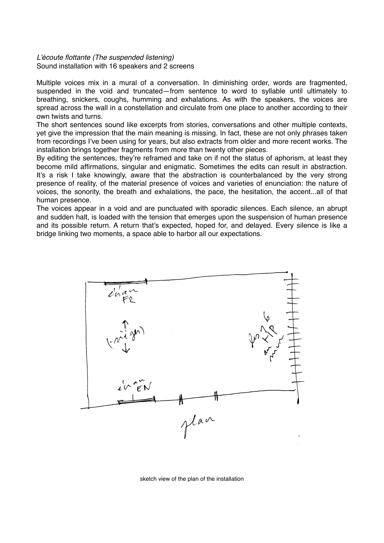## *L'écoute flottante (The suspended listening)* Sound installation with 16 speakers and 2 screens

Multiple voices mix in a mural of a conversation. In diminishing order, words are fragmented, suspended in the void and truncated—from sentence to word to syllable until ultimately to breathing, snickers, coughs, humming and exhalations. As with the speakers, the voices are spread across the wall in a constellation and circulate from one place to another according to their own twists and turns.

The short sentences sound like excerpts from stories, conversations and other multiple contexts, yet give the impression that the main meaning is missing. In fact, these are not only phrases taken from recordings I've been using for years, but also extracts from older and more recent works. The installation brings together fragments from more than twenty other pieces.

By editing the sentences, they're reframed and take on if not the status of aphorism, at least they become mild affirmations, singular and enigmatic. Sometimes the edits can result in abstraction. It's a risk I take knowingly, aware that the abstraction is counterbalanced by the very strong presence of reality, of the material presence of voices and varieties of enunciation: the nature of voices, the sonority, the breath and exhalations, the pace, the hesitation, the accent...all of that human presence.

The voices appear in a void and are punctuated with sporadic silences. Each silence, an abrupt and sudden halt, is loaded with the tension that emerges upon the suspension of human presence and its possible return. A return that's expected, hoped for, and delayed. Every silence is like a bridge linking two moments, a space able to harbor all our expectations.



sketch view of the plan of the installation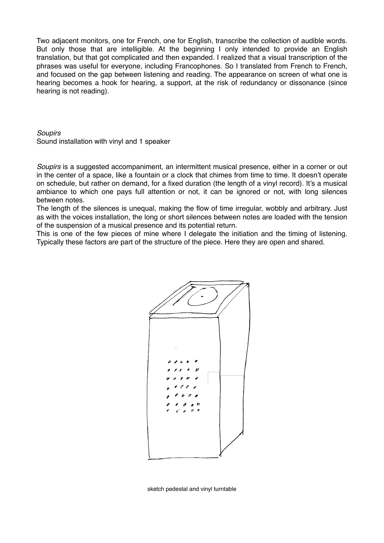Two adjacent monitors, one for French, one for English, transcribe the collection of audible words. But only those that are intelligible. At the beginning I only intended to provide an English translation, but that got complicated and then expanded. I realized that a visual transcription of the phrases was useful for everyone, including Francophones. So I translated from French to French, and focused on the gap between listening and reading. The appearance on screen of what one is hearing becomes a hook for hearing, a support, at the risk of redundancy or dissonance (since hearing is not reading).

## *Soupirs*  Sound installation with vinyl and 1 speaker

*Soupirs* is a suggested accompaniment, an intermittent musical presence, either in a corner or out in the center of a space, like a fountain or a clock that chimes from time to time. It doesn't operate on schedule, but rather on demand, for a fixed duration (the length of a vinyl record). It's a musical ambiance to which one pays full attention or not, it can be ignored or not, with long silences between notes.

The length of the silences is unequal, making the flow of time irregular, wobbly and arbitrary. Just as with the voices installation, the long or short silences between notes are loaded with the tension of the suspension of a musical presence and its potential return.

This is one of the few pieces of mine where I delegate the initiation and the timing of listening. Typically these factors are part of the structure of the piece. Here they are open and shared.



sketch pedestal and vinyl turntable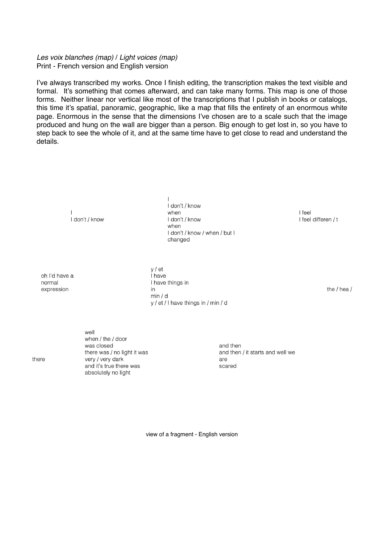## *Les voix blanches (map)* / *Light voices (map)*  Print - French version and English version

I've always transcribed my works. Once I finish editing, the transcription makes the text visible and formal. It's something that comes afterward, and can take many forms. This map is one of those forms. Neither linear nor vertical like most of the transcriptions that I publish in books or catalogs, this time it's spatial, panoramic, geographic, like a map that fills the entirety of an enormous white page. Enormous in the sense that the dimensions I've chosen are to a scale such that the image produced and hung on the wall are bigger than a person. Big enough to get lost in, so you have to step back to see the whole of it, and at the same time have to get close to read and understand the details.

> $\mathbf{I}$ I don't / know

 $\overline{1}$ I don't / know when I don't / know when I don't / know / when / but I changed

I feel I feel differen / t

oh I'd have a normal expression

 $y / et$ I have I have things in in  $min/d$ y / et / I have things in / min / d

the  $/$  hea  $/$ 

 $\ln \frac{1}{2}$ when / the / door was closed there was / no light it was very / very dark and it's true there was absolutely no light

and then and then / it starts and well we are scared

view of a fragment - English version

there